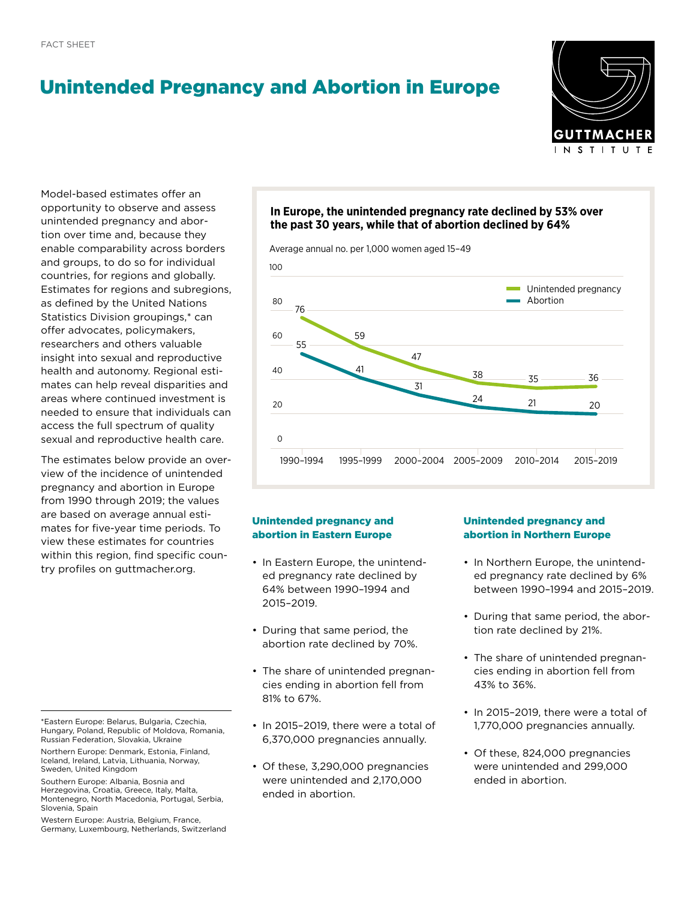# Unintended Pregnancy and Abortion in Europe

Europe



Model-based estimates offer an opportunity to observe and assess unintended pregnancy and abortion over time and, because they enable comparability across borders and groups, to do so for individual countries, for regions and globally. Estimates for regions and subregions, as defined by the United Nations Statistics Division groupings,\* can offer advocates, policymakers, researchers and others valuable insight into sexual and reproductive health and autonomy. Regional estimates can help reveal disparities and areas where continued investment is needed to ensure that individuals can access the full spectrum of quality sexual and reproductive health care.

The estimates below provide an overview of the incidence of unintended pregnancy and abortion in Europe from 1990 through 2019; the values are based on average annual estimates for five-year time periods. To view these estimates for countries within this region, find specific country profiles on [guttmacher.org.](http://Guttmacher.org)

Western Europe: Austria, Belgium, France, Germany, Luxembourg, Netherlands, Switzerland

# **In Europe, the unintended pregnancy rate declined by 53% over the past 30 years, while that of abortion declined by 64%**

Average annual no. per 1,000 women aged 15–49



## Unintended pregnancy and abortion in Eastern Europe

- In Eastern Europe, the unintended pregnancy rate declined by 64% between 1990-1994 and 2015–2019. Average annual no. per 1,000 women aged 15–49
- During that same period, the abortion rate declined by 70%.
- The share of unintended pregnan-The share of animentable program 81% to 67%.
- In 2015-2019, there were a total of 6,370,000 pregnancies annually.
- Of these, 3,290,000 pregnancies were unintended and 2,170,000 20 ended in abortion.

## Unintended pregnancy and abortion in Northern Europe

- In Northern Europe, the unintended pregnancy rate declined by 6% between 1990–1994 and 2015–2019.
- During that same period, the abortion rate declined by 21%.
- The share of unintended pregnancies ending in abortion fell from 43% to 36%. 78
- In 2015-2019, there were a total of 1,770,000 pregnancies annually.
- Of these, 824,000 pregnancies e, 3,290,000 pregnancies<br>were unintended and 299,000 ended in abortion.

<sup>\*</sup>Eastern Europe: Belarus, Bulgaria, Czechia, Hungary, Poland, Republic of Moldova, Romania, Russian Federation, Slovakia, Ukraine

Northern Europe: Denmark, Estonia, Finland, Iceland, Ireland, Latvia, Lithuania, Norway, Sweden, United Kingdom

Southern Europe: Albania, Bosnia and Herzegovina, Croatia, Greece, Italy, Malta, Montenegro, North Macedonia, Portugal, Serbia, Slovenia, Spain